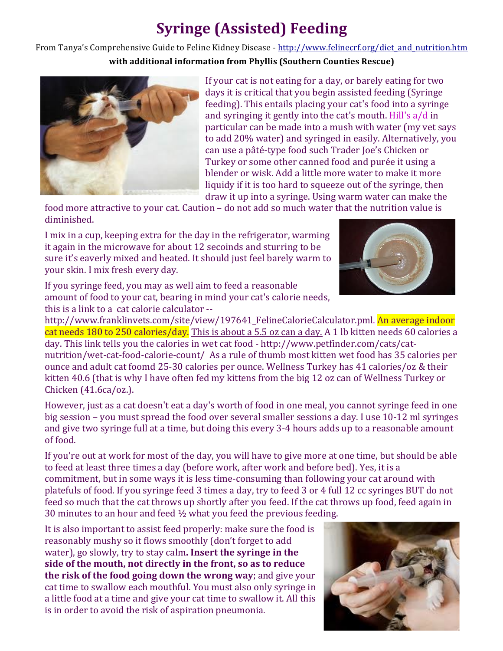# **Syringe (Assisted) Feeding**

From Tanya's Comprehensive Guide to Feline Kidney Disease - http://www.felinecrf.org/diet\_and\_nutrition.htm **with additional information from Phyllis (Southern Counties Rescue)** 



If your cat is not eating for a day, or barely eating for two days it is critical that you begin assisted feeding (Syringe) feeding). This entails placing your cat's food into a syringe and syringing it gently into the cat's mouth. Hill's  $a/d$  in particular can be made into a mush with water (my vet says) to add 20% water) and syringed in easily. Alternatively, you can use a pâté-type food such Trader Joe's Chicken or Turkey or some other canned food and purée it using a blender or wisk. Add a little more water to make it more liquidy if it is too hard to squeeze out of the syringe, then draw it up into a syringe. Using warm water can make the

food more attractive to your cat. Caution – do not add so much water that the nutrition value is diminished.

I mix in a cup, keeping extra for the day in the refrigerator, warming it again in the microwave for about 12 secoinds and sturring to be sure it's eaverly mixed and heated. It should just feel barely warm to your skin. I mix fresh every day.

If you syringe feed, you may as well aim to feed a reasonable amount of food to your cat, bearing in mind your cat's calorie needs, this is a link to a cat calorie calculator --

http://www.franklinvets.com/site/view/197641\_FelineCalorieCalculator.pml. An average indoor cat needs 180 to 250 calories/day. This is about a 5.5 oz can a day. A 1 lb kitten needs 60 calories a day. This link tells you the calories in wet cat food - http://www.petfinder.com/cats/catnutrition/wet-cat-food-calorie-count/ As a rule of thumb most kitten wet food has 35 calories per ounce and adult cat foomd 25-30 calories per ounce. Wellness Turkey has 41 calories/oz & their kitten 40.6 (that is why I have often fed my kittens from the big 12 oz can of Wellness Turkey or Chicken  $(41.6ca/oz.).$ 

However, just as a cat doesn't eat a day's worth of food in one meal, you cannot syringe feed in one big session – you must spread the food over several smaller sessions a day. I use 10-12 ml syringes and give two syringe full at a time, but doing this every 3-4 hours adds up to a reasonable amount of food.

If you're out at work for most of the day, you will have to give more at one time, but should be able to feed at least three times a day (before work, after work and before bed). Yes, it is a commitment, but in some ways it is less time-consuming than following your cat around with platefuls of food. If you syringe feed 3 times a day, try to feed 3 or 4 full 12 cc syringes BUT do not feed so much that the cat throws up shortly after you feed. If the cat throws up food, feed again in 30 minutes to an hour and feed  $\frac{1}{2}$  what you feed the previous feeding.

It is also important to assist feed properly: make sure the food is reasonably mushy so it flows smoothly (don't forget to add water), go slowly, try to stay calm. **Insert the syringe in the** side of the mouth, not directly in the front, so as to reduce **the risk of the food going down the wrong way**; and give your cat time to swallow each mouthful. You must also only syringe in a little food at a time and give your cat time to swallow it. All this is in order to avoid the risk of aspiration pneumonia.



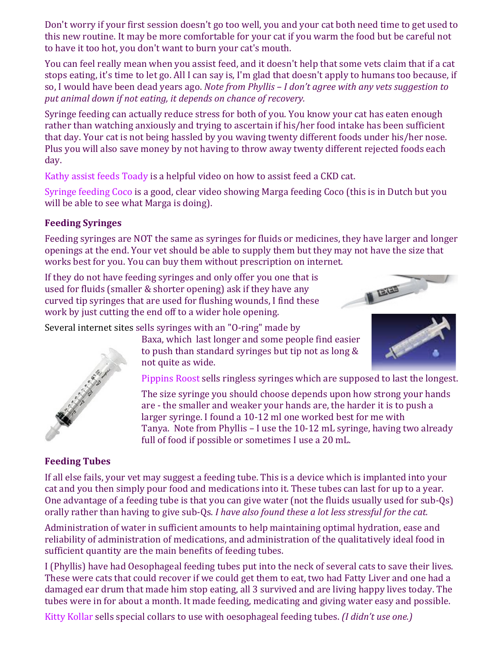Don't worry if your first session doesn't go too well, you and your cat both need time to get used to this new routine. It may be more comfortable for your cat if you warm the food but be careful not to have it too hot, you don't want to burn your cat's mouth.

You can feel really mean when you assist feed, and it doesn't help that some vets claim that if a cat stops eating, it's time to let go. All I can say is, I'm glad that doesn't apply to humans too because, if so. I would have been dead years ago. *Note from Phyllis – I don't agree with any vets suggestion to* put animal down if not eating, it depends on chance of recovery.

Syringe feeding can actually reduce stress for both of you. You know your cat has eaten enough rather than watching anxiously and trying to ascertain if his/her food intake has been sufficient that day. Your cat is not being hassled by you waving twenty different foods under his/her nose. Plus you will also save money by not having to throw away twenty different rejected foods each day.

Kathy assist feeds Toady is a helpful video on how to assist feed a CKD cat.

Syringe feeding Coco is a good, clear video showing Marga feeding Coco (this is in Dutch but you will be able to see what Marga is doing).

## **Feeding Syringes**

Feeding syringes are NOT the same as syringes for fluids or medicines, they have larger and longer openings at the end. Your vet should be able to supply them but they may not have the size that works best for you. You can buy them without prescription on internet.

If they do not have feeding syringes and only offer you one that is used for fluids (smaller & shorter opening) ask if they have any curved tip syringes that are used for flushing wounds, I find these work by just cutting the end off to a wider hole opening.

Several internet sites sells syringes with an "O-ring" made by





Baxa, which last longer and some people find easier to push than standard syringes but tip not as long  $&$ not quite as wide.



Pippins Roost sells ringless syringes which are supposed to last the longest.

The size syringe you should choose depends upon how strong your hands are - the smaller and weaker your hands are, the harder it is to push a larger syringe. I found a 10-12 ml one worked best for me with Tanya. Note from Phyllis – I use the 10-12 mL syringe, having two already full of food if possible or sometimes I use a 20 mL.

## **Feeding Tubes**

If all else fails, your vet may suggest a feeding tube. This is a device which is implanted into your cat and you then simply pour food and medications into it. These tubes can last for up to a year. One advantage of a feeding tube is that you can give water (not the fluids usually used for sub-Qs) orally rather than having to give sub-Qs. *I have also found these a lot less stressful for the cat.* 

Administration of water in sufficient amounts to help maintaining optimal hydration, ease and reliability of administration of medications, and administration of the qualitatively ideal food in sufficient quantity are the main benefits of feeding tubes.

I (Phyllis) have had Oesophageal feeding tubes put into the neck of several cats to save their lives. These were cats that could recover if we could get them to eat, two had Fatty Liver and one had a damaged ear drum that made him stop eating, all 3 survived and are living happy lives today. The tubes were in for about a month. It made feeding, medicating and giving water easy and possible.

Kitty Kollar sells special collars to use with oesophageal feeding tubes. *(I didn't use one.)*